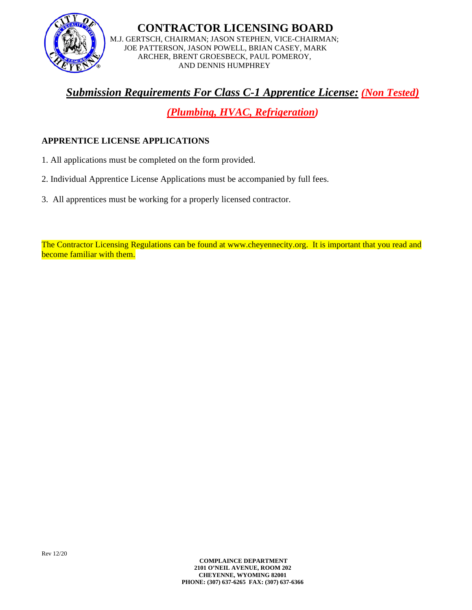

**CONTRACTOR LICENSING BOARD** M.J. GERTSCH, CHAIRMAN; JASON STEPHEN, VICE-CHAIRMAN; JOE PATTERSON, JASON POWELL, BRIAN CASEY, MARK ARCHER, BRENT GROESBECK, PAUL POMEROY, AND DENNIS HUMPHREY

# *Submission Requirements For Class C-1 Apprentice License: (Non Tested)*

*(Plumbing, HVAC, Refrigeration)* 

#### **APPRENTICE LICENSE APPLICATIONS**

- 1. All applications must be completed on the form provided.
- 2. Individual Apprentice License Applications must be accompanied by full fees.
- 3. All apprentices must be working for a properly licensed contractor.

The Contractor Licensing Regulations can be found at www.cheyennecity.org. It is important that you read and become familiar with them.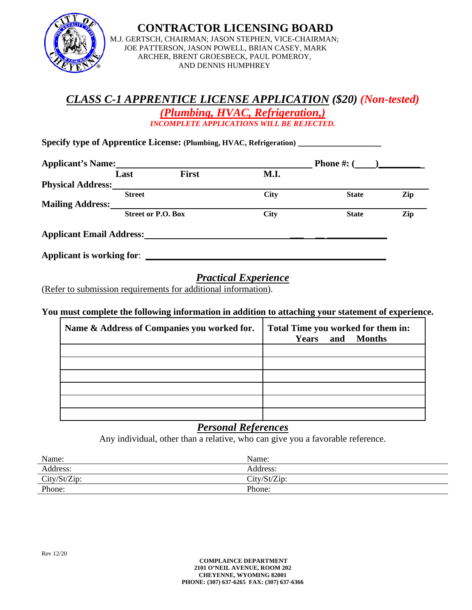

**CONTRACTOR LICENSING BOARD** M.J. GERTSCH, CHAIRMAN; JASON STEPHEN, VICE-CHAIRMAN; JOE PATTERSON, JASON POWELL, BRIAN CASEY, MARK ARCHER, BRENT GROESBECK, PAUL POMEROY, AND DENNIS HUMPHREY

### *CLASS C -1 APPRENTICE LICENSE APPLICATION (\$20) (Non-tested) (Plumbing, HVAC, Refrigeration,) INCOMPLETE APPLICATIONS WILL BE REJECTED.*

**Specify type of Apprentice License: (Plumbing, HVAC, Refrigeration) \_\_\_\_\_\_\_\_\_\_\_\_\_\_\_\_\_\_**

| <b>Applicant's Name:</b>        |                           |              |             | <b>Phone #:</b> $($ |     |
|---------------------------------|---------------------------|--------------|-------------|---------------------|-----|
|                                 | Last                      | <b>First</b> | M.I.        |                     |     |
| <b>Physical Address:</b>        |                           |              |             |                     |     |
|                                 | <b>Street</b>             |              | <b>City</b> | <b>State</b>        | Zip |
| <b>Mailing Address:</b>         |                           |              |             |                     |     |
|                                 | <b>Street or P.O. Box</b> |              | <b>City</b> | <b>State</b>        | Zip |
| <b>Applicant Email Address:</b> |                           |              |             |                     |     |

## *Practical Experience*

(Refer to submission requirements for additional information).

#### **You must complete the following information in addition to attaching your statement of experience.**

| Name & Address of Companies you worked for. | Total Time you worked for them in:<br><b>Years</b> and Months |
|---------------------------------------------|---------------------------------------------------------------|
|                                             |                                                               |
|                                             |                                                               |
|                                             |                                                               |
|                                             |                                                               |
|                                             |                                                               |
|                                             |                                                               |

## *Personal References*

Any individual, other than a relative, who can give you a favorable reference.

| Name:        | Name:        |  |
|--------------|--------------|--|
| Address:     | Address:     |  |
| City/St/Zip: | City/St/Zip: |  |
| Phone:       | Phone:       |  |
|              |              |  |